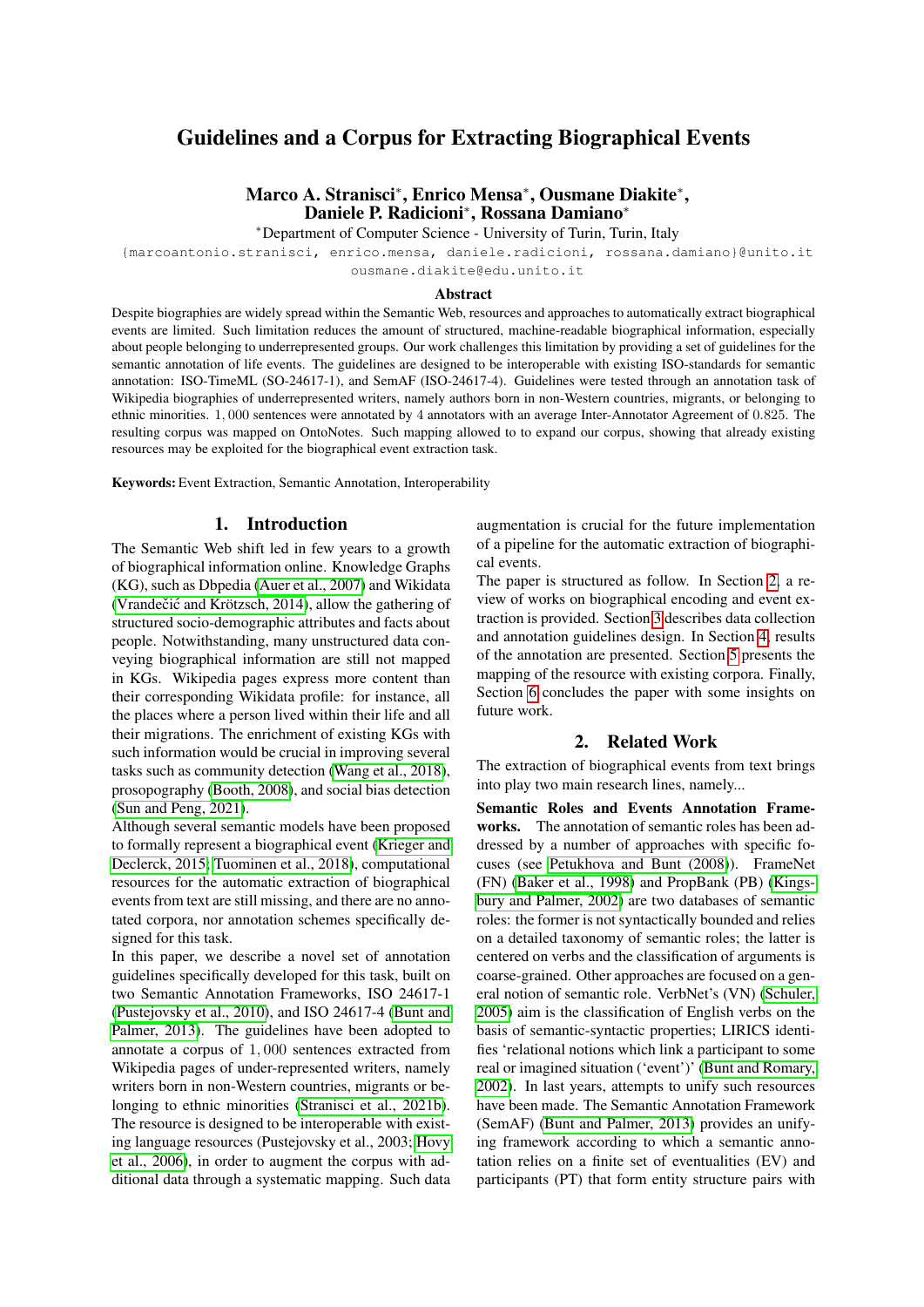# Guidelines and a Corpus for Extracting Biographical Events

## Marco A. Stranisci<sup>∗</sup> , Enrico Mensa<sup>∗</sup> , Ousmane Diakite<sup>∗</sup> , Daniele P. Radicioni<sup>∗</sup> , Rossana Damiano<sup>∗</sup>

<sup>∗</sup>Department of Computer Science - University of Turin, Turin, Italy

{marcoantonio.stranisci, enrico.mensa, daniele.radicioni, rossana.damiano}@unito.it ousmane.diakite@edu.unito.it

#### **A** hstract

Despite biographies are widely spread within the Semantic Web, resources and approaches to automatically extract biographical events are limited. Such limitation reduces the amount of structured, machine-readable biographical information, especially about people belonging to underrepresented groups. Our work challenges this limitation by providing a set of guidelines for the semantic annotation of life events. The guidelines are designed to be interoperable with existing ISO-standards for semantic annotation: ISO-TimeML (SO-24617-1), and SemAF (ISO-24617-4). Guidelines were tested through an annotation task of Wikipedia biographies of underrepresented writers, namely authors born in non-Western countries, migrants, or belonging to ethnic minorities. 1, 000 sentences were annotated by 4 annotators with an average Inter-Annotator Agreement of 0.825. The resulting corpus was mapped on OntoNotes. Such mapping allowed to to expand our corpus, showing that already existing resources may be exploited for the biographical event extraction task.

Keywords: Event Extraction, Semantic Annotation, Interoperability

## 1. Introduction

The Semantic Web shift led in few years to a growth of biographical information online. Knowledge Graphs (KG), such as Dbpedia [\(Auer et al., 2007\)](#page-5-0) and Wikidata (Vrandečić and Krötzsch, 2014), allow the gathering of structured socio-demographic attributes and facts about people. Notwithstanding, many unstructured data conveying biographical information are still not mapped in KGs. Wikipedia pages express more content than their corresponding Wikidata profile: for instance, all the places where a person lived within their life and all their migrations. The enrichment of existing KGs with such information would be crucial in improving several tasks such as community detection [\(Wang et al., 2018\)](#page-6-1), prosopography [\(Booth, 2008\)](#page-5-1), and social bias detection [\(Sun and Peng, 2021\)](#page-6-2).

Although several semantic models have been proposed to formally represent a biographical event [\(Krieger and](#page-6-3) [Declerck, 2015;](#page-6-3) [Tuominen et al., 2018\)](#page-6-4), computational resources for the automatic extraction of biographical events from text are still missing, and there are no annotated corpora, nor annotation schemes specifically designed for this task.

In this paper, we describe a novel set of annotation guidelines specifically developed for this task, built on two Semantic Annotation Frameworks, ISO 24617-1 [\(Pustejovsky et al., 2010\)](#page-6-5), and ISO 24617-4 [\(Bunt and](#page-5-2) [Palmer, 2013\)](#page-5-2). The guidelines have been adopted to annotate a corpus of 1, 000 sentences extracted from Wikipedia pages of under-represented writers, namely writers born in non-Western countries, migrants or be-longing to ethnic minorities [\(Stranisci et al., 2021b\)](#page-6-6). The resource is designed to be interoperable with existing language resources (Pustejovsky et al., 2003; [Hovy](#page-6-7) [et al., 2006\)](#page-6-7), in order to augment the corpus with additional data through a systematic mapping. Such data augmentation is crucial for the future implementation of a pipeline for the automatic extraction of biographical events.

The paper is structured as follow. In Section [2,](#page-0-0) a review of works on biographical encoding and event extraction is provided. Section [3](#page-1-0) describes data collection and annotation guidelines design. In Section [4,](#page-2-0) results of the annotation are presented. Section [5](#page-3-0) presents the mapping of the resource with existing corpora. Finally, Section [6](#page-5-3) concludes the paper with some insights on future work.

## 2. Related Work

<span id="page-0-0"></span>The extraction of biographical events from text brings into play two main research lines, namely...

Semantic Roles and Events Annotation Frameworks. The annotation of semantic roles has been addressed by a number of approaches with specific focuses (see [Petukhova and Bunt \(2008\)](#page-6-8)). FrameNet (FN) [\(Baker et al., 1998\)](#page-5-4) and PropBank (PB) [\(Kings](#page-6-9)[bury and Palmer, 2002\)](#page-6-9) are two databases of semantic roles: the former is not syntactically bounded and relies on a detailed taxonomy of semantic roles; the latter is centered on verbs and the classification of arguments is coarse-grained. Other approaches are focused on a general notion of semantic role. VerbNet's (VN) [\(Schuler,](#page-6-10) [2005\)](#page-6-10) aim is the classification of English verbs on the basis of semantic-syntactic properties; LIRICS identifies 'relational notions which link a participant to some real or imagined situation ('event')' [\(Bunt and Romary,](#page-5-5) [2002\)](#page-5-5). In last years, attempts to unify such resources have been made. The Semantic Annotation Framework (SemAF) [\(Bunt and Palmer, 2013\)](#page-5-2) provides an unifying framework according to which a semantic annotation relies on a finite set of eventualities (EV) and participants (PT) that form entity structure pairs with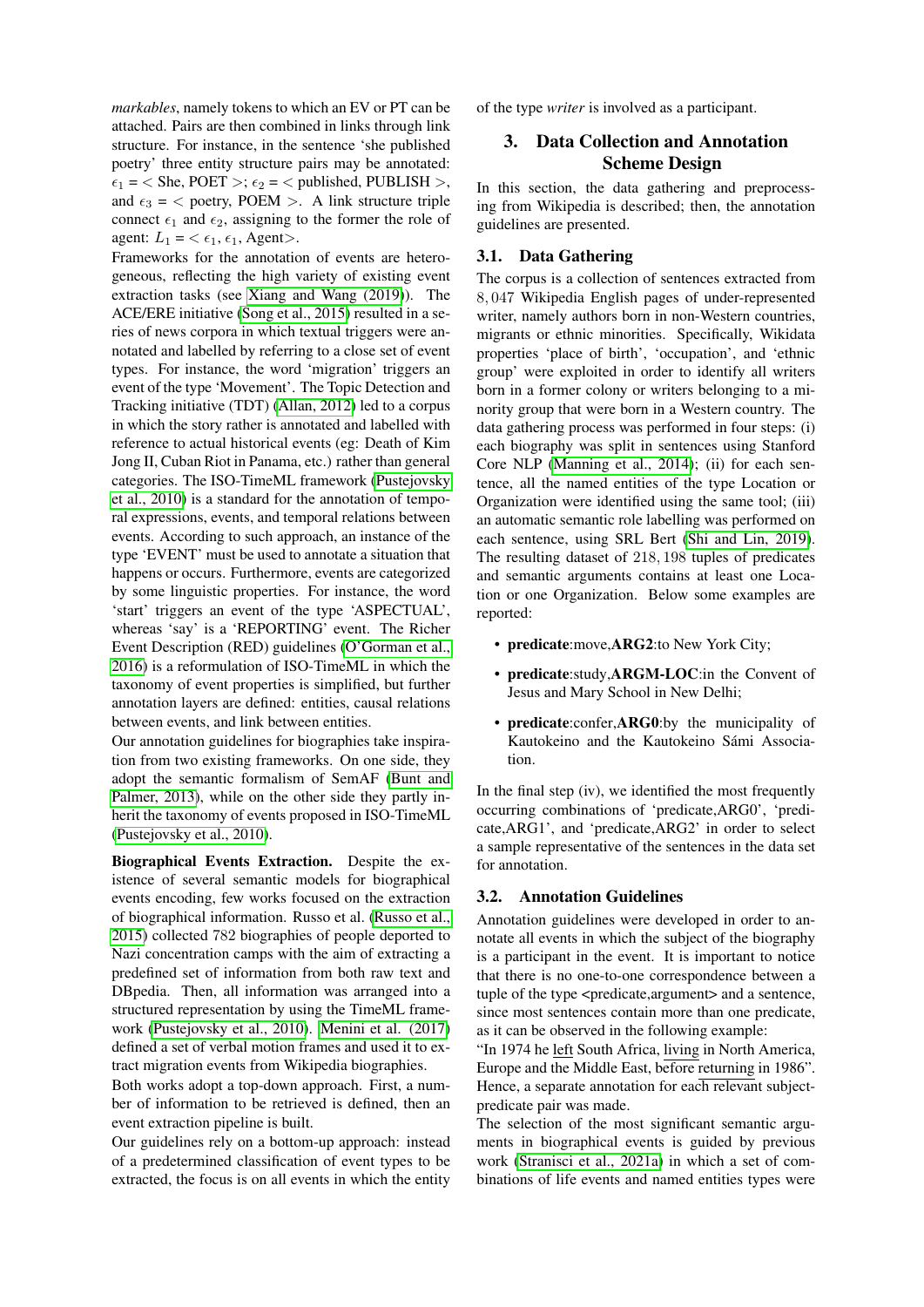*markables*, namely tokens to which an EV or PT can be attached. Pairs are then combined in links through link structure. For instance, in the sentence 'she published poetry' three entity structure pairs may be annotated:  $\epsilon_1$  = < She, POET >;  $\epsilon_2$  = < published, PUBLISH >, and  $\epsilon_3$  = < poetry, POEM >. A link structure triple connect  $\epsilon_1$  and  $\epsilon_2$ , assigning to the former the role of agent:  $L_1 = \langle \epsilon_1, \epsilon_1, \text{Agent} \rangle$ .

Frameworks for the annotation of events are heterogeneous, reflecting the high variety of existing event extraction tasks (see [Xiang and Wang \(2019\)](#page-6-11)). The ACE/ERE initiative [\(Song et al., 2015\)](#page-6-12) resulted in a series of news corpora in which textual triggers were annotated and labelled by referring to a close set of event types. For instance, the word 'migration' triggers an event of the type 'Movement'. The Topic Detection and Tracking initiative (TDT) [\(Allan, 2012\)](#page-5-6) led to a corpus in which the story rather is annotated and labelled with reference to actual historical events (eg: Death of Kim Jong II, Cuban Riot in Panama, etc.) rather than general categories. The ISO-TimeML framework [\(Pustejovsky](#page-6-5) [et al., 2010\)](#page-6-5) is a standard for the annotation of temporal expressions, events, and temporal relations between events. According to such approach, an instance of the type 'EVENT' must be used to annotate a situation that happens or occurs. Furthermore, events are categorized by some linguistic properties. For instance, the word 'start' triggers an event of the type 'ASPECTUAL', whereas 'say' is a 'REPORTING' event. The Richer Event Description (RED) guidelines [\(O'Gorman et al.,](#page-6-13) [2016\)](#page-6-13) is a reformulation of ISO-TimeML in which the taxonomy of event properties is simplified, but further annotation layers are defined: entities, causal relations between events, and link between entities.

Our annotation guidelines for biographies take inspiration from two existing frameworks. On one side, they adopt the semantic formalism of SemAF [\(Bunt and](#page-5-2) [Palmer, 2013\)](#page-5-2), while on the other side they partly inherit the taxonomy of events proposed in ISO-TimeML [\(Pustejovsky et al., 2010\)](#page-6-5).

Biographical Events Extraction. Despite the existence of several semantic models for biographical events encoding, few works focused on the extraction of biographical information. Russo et al. [\(Russo et al.,](#page-6-14) [2015\)](#page-6-14) collected 782 biographies of people deported to Nazi concentration camps with the aim of extracting a predefined set of information from both raw text and DBpedia. Then, all information was arranged into a structured representation by using the TimeML framework [\(Pustejovsky et al., 2010\)](#page-6-5). [Menini et al. \(2017\)](#page-6-15) defined a set of verbal motion frames and used it to extract migration events from Wikipedia biographies.

Both works adopt a top-down approach. First, a number of information to be retrieved is defined, then an event extraction pipeline is built.

Our guidelines rely on a bottom-up approach: instead of a predetermined classification of event types to be extracted, the focus is on all events in which the entity of the type *writer* is involved as a participant.

## <span id="page-1-0"></span>3. Data Collection and Annotation Scheme Design

In this section, the data gathering and preprocessing from Wikipedia is described; then, the annotation guidelines are presented.

### 3.1. Data Gathering

The corpus is a collection of sentences extracted from 8, 047 Wikipedia English pages of under-represented writer, namely authors born in non-Western countries, migrants or ethnic minorities. Specifically, Wikidata properties 'place of birth', 'occupation', and 'ethnic group' were exploited in order to identify all writers born in a former colony or writers belonging to a minority group that were born in a Western country. The data gathering process was performed in four steps: (i) each biography was split in sentences using Stanford Core NLP [\(Manning et al., 2014\)](#page-6-16); (ii) for each sentence, all the named entities of the type Location or Organization were identified using the same tool; (iii) an automatic semantic role labelling was performed on each sentence, using SRL Bert [\(Shi and Lin, 2019\)](#page-6-17). The resulting dataset of 218, 198 tuples of predicates and semantic arguments contains at least one Location or one Organization. Below some examples are reported:

- predicate:move,ARG2:to New York City;
- predicate:study, ARGM-LOC:in the Convent of Jesus and Mary School in New Delhi;
- predicate:confer,ARG0:by the municipality of Kautokeino and the Kautokeino Sámi Association.

In the final step (iv), we identified the most frequently occurring combinations of 'predicate,ARG0', 'predicate,ARG1', and 'predicate,ARG2' in order to select a sample representative of the sentences in the data set for annotation.

### 3.2. Annotation Guidelines

Annotation guidelines were developed in order to annotate all events in which the subject of the biography is a participant in the event. It is important to notice that there is no one-to-one correspondence between a tuple of the type <predicate,argument> and a sentence, since most sentences contain more than one predicate, as it can be observed in the following example:

"In 1974 he left South Africa, living in North America, Europe and the Middle East, before returning in 1986". Hence, a separate annotation for each relevant subjectpredicate pair was made.

The selection of the most significant semantic arguments in biographical events is guided by previous work [\(Stranisci et al., 2021a\)](#page-6-18) in which a set of combinations of life events and named entities types were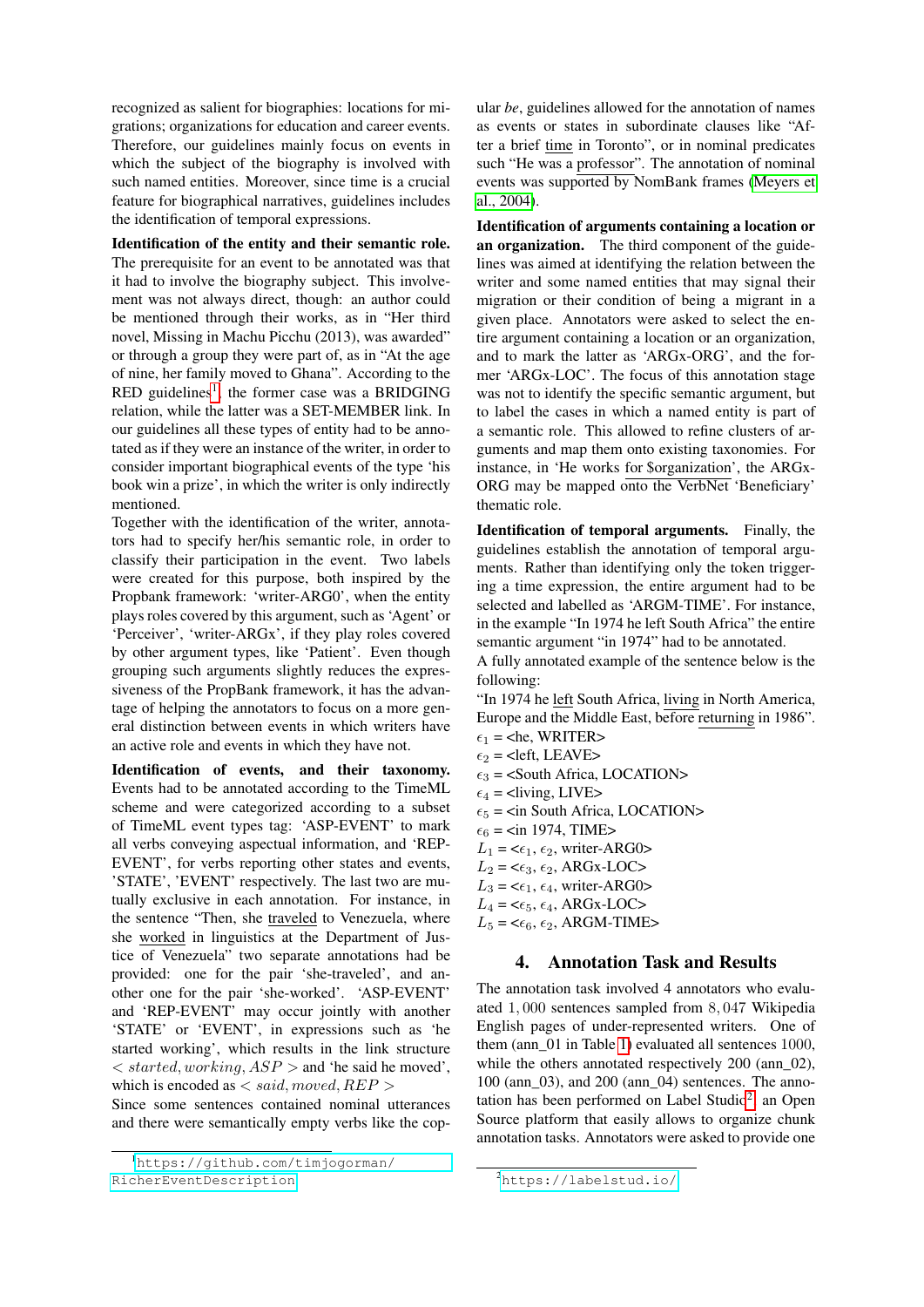recognized as salient for biographies: locations for migrations; organizations for education and career events. Therefore, our guidelines mainly focus on events in which the subject of the biography is involved with such named entities. Moreover, since time is a crucial feature for biographical narratives, guidelines includes the identification of temporal expressions.

Identification of the entity and their semantic role. The prerequisite for an event to be annotated was that it had to involve the biography subject. This involvement was not always direct, though: an author could be mentioned through their works, as in "Her third novel, Missing in Machu Picchu (2013), was awarded" or through a group they were part of, as in "At the age of nine, her family moved to Ghana". According to the  $RED$  guidelines<sup>[1](#page-2-1)</sup>, the former case was a BRIDGING relation, while the latter was a SET-MEMBER link. In our guidelines all these types of entity had to be annotated as if they were an instance of the writer, in order to consider important biographical events of the type 'his book win a prize', in which the writer is only indirectly mentioned.

Together with the identification of the writer, annotators had to specify her/his semantic role, in order to classify their participation in the event. Two labels were created for this purpose, both inspired by the Propbank framework: 'writer-ARG0', when the entity plays roles covered by this argument, such as 'Agent' or 'Perceiver', 'writer-ARGx', if they play roles covered by other argument types, like 'Patient'. Even though grouping such arguments slightly reduces the expressiveness of the PropBank framework, it has the advantage of helping the annotators to focus on a more general distinction between events in which writers have an active role and events in which they have not.

Identification of events, and their taxonomy. Events had to be annotated according to the TimeML scheme and were categorized according to a subset of TimeML event types tag: 'ASP-EVENT' to mark all verbs conveying aspectual information, and 'REP-EVENT', for verbs reporting other states and events, 'STATE', 'EVENT' respectively. The last two are mutually exclusive in each annotation. For instance, in the sentence "Then, she traveled to Venezuela, where she worked in linguistics at the Department of Justice of Venezuela" two separate annotations had be provided: one for the pair 'she-traveled', and another one for the pair 'she-worked'. 'ASP-EVENT' and 'REP-EVENT' may occur jointly with another 'STATE' or 'EVENT', in expressions such as 'he started working', which results in the link structure  $\langle$  started, working, ASP  $>$  and 'he said he moved', which is encoded as  $\langle$  said, moved, REP  $\rangle$ 

Since some sentences contained nominal utterances and there were semantically empty verbs like the copular *be*, guidelines allowed for the annotation of names as events or states in subordinate clauses like "After a brief time in Toronto", or in nominal predicates such "He was a professor". The annotation of nominal events was supported by NomBank frames [\(Meyers et](#page-6-19) [al., 2004\)](#page-6-19).

Identification of arguments containing a location or an organization. The third component of the guidelines was aimed at identifying the relation between the writer and some named entities that may signal their migration or their condition of being a migrant in a given place. Annotators were asked to select the entire argument containing a location or an organization, and to mark the latter as 'ARGx-ORG', and the former 'ARGx-LOC'. The focus of this annotation stage was not to identify the specific semantic argument, but to label the cases in which a named entity is part of a semantic role. This allowed to refine clusters of arguments and map them onto existing taxonomies. For instance, in 'He works for \$organization', the ARGx-ORG may be mapped onto the VerbNet 'Beneficiary' thematic role.

Identification of temporal arguments. Finally, the guidelines establish the annotation of temporal arguments. Rather than identifying only the token triggering a time expression, the entire argument had to be selected and labelled as 'ARGM-TIME'. For instance, in the example "In 1974 he left South Africa" the entire semantic argument "in 1974" had to be annotated.

A fully annotated example of the sentence below is the following:

"In 1974 he left South Africa, living in North America, Europe and the Middle East, before returning in 1986".

- $\epsilon_1$  = <he, WRITER>
- $\epsilon_2$  = <left, LEAVE>
- $\epsilon_3$  = <South Africa, LOCATION>
- $\epsilon_4$  = <living, LIVE>
- $\epsilon_5$  = <in South Africa, LOCATION>
- $\epsilon_6$  =  $\epsilon$ in 1974, TIME $>$
- $L_1 = \langle \epsilon_1, \epsilon_2, \text{writer-ARG0} \rangle$
- $L_2 = \epsilon_{3}, \epsilon_2$ , ARGx-LOC>
- $L_3 = \epsilon_1, \epsilon_4$ , writer-ARG0>
- $L_4 = \langle \epsilon_5, \epsilon_4, \text{ARGx-LOC} \rangle$
- <span id="page-2-0"></span> $L_5 = \epsilon_6, \epsilon_2$ , ARGM-TIME>

### 4. Annotation Task and Results

The annotation task involved 4 annotators who evaluated 1, 000 sentences sampled from 8, 047 Wikipedia English pages of under-represented writers. One of them (ann\_01 in Table [1\)](#page-3-1) evaluated all sentences 1000, while the others annotated respectively 200 (ann 02), 100 (ann\_03), and 200 (ann\_04) sentences. The anno-tation has been performed on Label Studio<sup>[2](#page-2-2)</sup>, an Open Source platform that easily allows to organize chunk annotation tasks. Annotators were asked to provide one

<span id="page-2-1"></span><sup>1</sup>[https://github.com/timjogorman/](https://github.com/timjogorman/RicherEventDescription)

[RicherEventDescription](https://github.com/timjogorman/RicherEventDescription)

<span id="page-2-2"></span><sup>2</sup><https://labelstud.io/>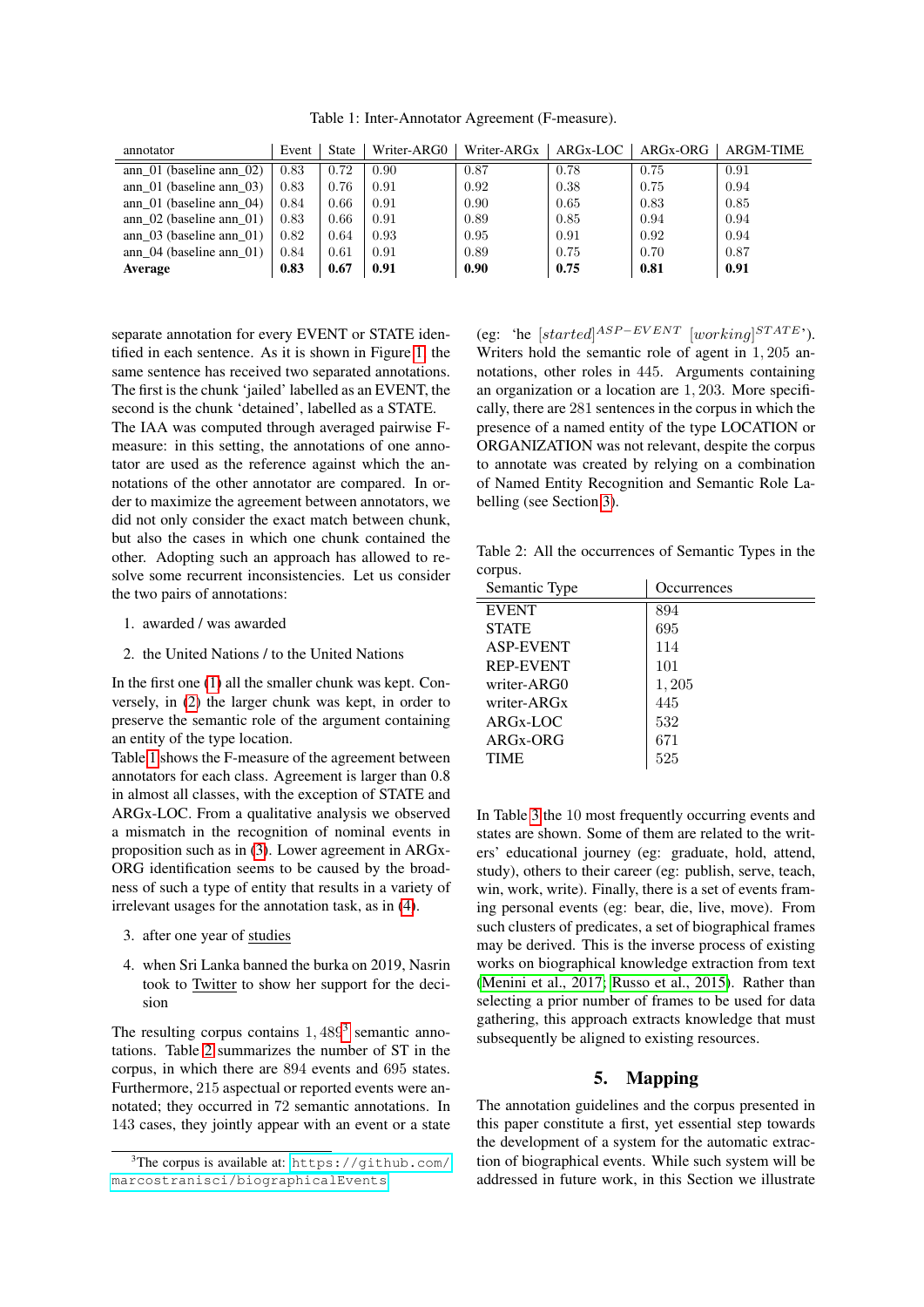<span id="page-3-1"></span>Table 1: Inter-Annotator Agreement (F-measure).

| annotator                     | Event | <b>State</b> | Writer-ARG0 | Writer-ARG <sub>x</sub> | ARG <sub>x</sub> -LOC | ARGx-ORG | ARGM-TIME |
|-------------------------------|-------|--------------|-------------|-------------------------|-----------------------|----------|-----------|
| ann $01$ (baseline ann $02$ ) | 0.83  | 0.72         | 0.90        | 0.87                    | 0.78                  | 0.75     | 0.91      |
| ann $01$ (baseline ann $03$ ) | 0.83  | 0.76         | 0.91        | 0.92                    | 0.38                  | 0.75     | 0.94      |
| ann $01$ (baseline ann $04$ ) | 0.84  | 0.66         | 0.91        | 0.90                    | 0.65                  | 0.83     | 0.85      |
| ann $02$ (baseline ann $01$ ) | 0.83  | 0.66         | 0.91        | 0.89                    | 0.85                  | 0.94     | 0.94      |
| ann $03$ (baseline ann $01$ ) | 0.82  | 0.64         | 0.93        | 0.95                    | 0.91                  | 0.92     | 0.94      |
| ann $04$ (baseline ann $01$ ) | 0.84  | 0.61         | 0.91        | 0.89                    | 0.75                  | 0.70     | 0.87      |
| Average                       | 0.83  | 0.67         | 0.91        | 0.90                    | 0.75                  | 0.81     | 0.91      |

separate annotation for every EVENT or STATE identified in each sentence. As it is shown in Figure [1,](#page-4-0) the same sentence has received two separated annotations. The first is the chunk 'jailed' labelled as an EVENT, the second is the chunk 'detained', labelled as a STATE.

The IAA was computed through averaged pairwise Fmeasure: in this setting, the annotations of one annotator are used as the reference against which the annotations of the other annotator are compared. In order to maximize the agreement between annotators, we did not only consider the exact match between chunk, but also the cases in which one chunk contained the other. Adopting such an approach has allowed to resolve some recurrent inconsistencies. Let us consider the two pairs of annotations:

- <span id="page-3-2"></span>1. awarded / was awarded
- <span id="page-3-3"></span>2. the United Nations / to the United Nations

In the first one [\(1\)](#page-3-2) all the smaller chunk was kept. Conversely, in [\(2\)](#page-3-3) the larger chunk was kept, in order to preserve the semantic role of the argument containing an entity of the type location.

Table [1](#page-3-1) shows the F-measure of the agreement between annotators for each class. Agreement is larger than 0.8 in almost all classes, with the exception of STATE and ARGx-LOC. From a qualitative analysis we observed a mismatch in the recognition of nominal events in proposition such as in [\(3\)](#page-3-4). Lower agreement in ARGx-ORG identification seems to be caused by the broadness of such a type of entity that results in a variety of irrelevant usages for the annotation task, as in [\(4\)](#page-3-5).

- <span id="page-3-4"></span>3. after one year of studies
- <span id="page-3-5"></span>4. when Sri Lanka banned the burka on 2019, Nasrin took to Twitter to show her support for the decision

The resulting corpus contains  $1,489^3$  $1,489^3$  semantic annotations. Table [2](#page-3-7) summarizes the number of ST in the corpus, in which there are 894 events and 695 states. Furthermore, 215 aspectual or reported events were annotated; they occurred in 72 semantic annotations. In 143 cases, they jointly appear with an event or a state

(eg: 'he [started]<sup>ASP-EVENT</sup> [working]<sup>STATE</sup>'). Writers hold the semantic role of agent in 1, 205 annotations, other roles in 445. Arguments containing an organization or a location are 1, 203. More specifically, there are 281 sentences in the corpus in which the presence of a named entity of the type LOCATION or ORGANIZATION was not relevant, despite the corpus to annotate was created by relying on a combination of Named Entity Recognition and Semantic Role Labelling (see Section [3\)](#page-1-0).

<span id="page-3-7"></span>Table 2: All the occurrences of Semantic Types in the corpus.

| Semantic Type           | <i>Occurrences</i> |
|-------------------------|--------------------|
| <b>EVENT</b>            | 894                |
| <b>STATE</b>            | 695                |
| <b>ASP-EVENT</b>        | 114                |
| <b>REP-EVENT</b>        | 101                |
| writer-ARG0             | 1,205              |
| writer-ARG <sub>x</sub> | 445                |
| $ARGx-LOC$              | 532                |
| ARG <sub>x</sub> -ORG   | 671                |
| <b>TIME</b>             | 525                |

In Table [3](#page-4-1) the 10 most frequently occurring events and states are shown. Some of them are related to the writers' educational journey (eg: graduate, hold, attend, study), others to their career (eg: publish, serve, teach, win, work, write). Finally, there is a set of events framing personal events (eg: bear, die, live, move). From such clusters of predicates, a set of biographical frames may be derived. This is the inverse process of existing works on biographical knowledge extraction from text [\(Menini et al., 2017;](#page-6-15) [Russo et al., 2015\)](#page-6-14). Rather than selecting a prior number of frames to be used for data gathering, this approach extracts knowledge that must subsequently be aligned to existing resources.

## 5. Mapping

<span id="page-3-0"></span>The annotation guidelines and the corpus presented in this paper constitute a first, yet essential step towards the development of a system for the automatic extraction of biographical events. While such system will be addressed in future work, in this Section we illustrate

<span id="page-3-6"></span> $3$ The corpus is available at: [https://github.com/](https://github.com/marcostranisci/biographicalEvents) [marcostranisci/biographicalEvents](https://github.com/marcostranisci/biographicalEvents)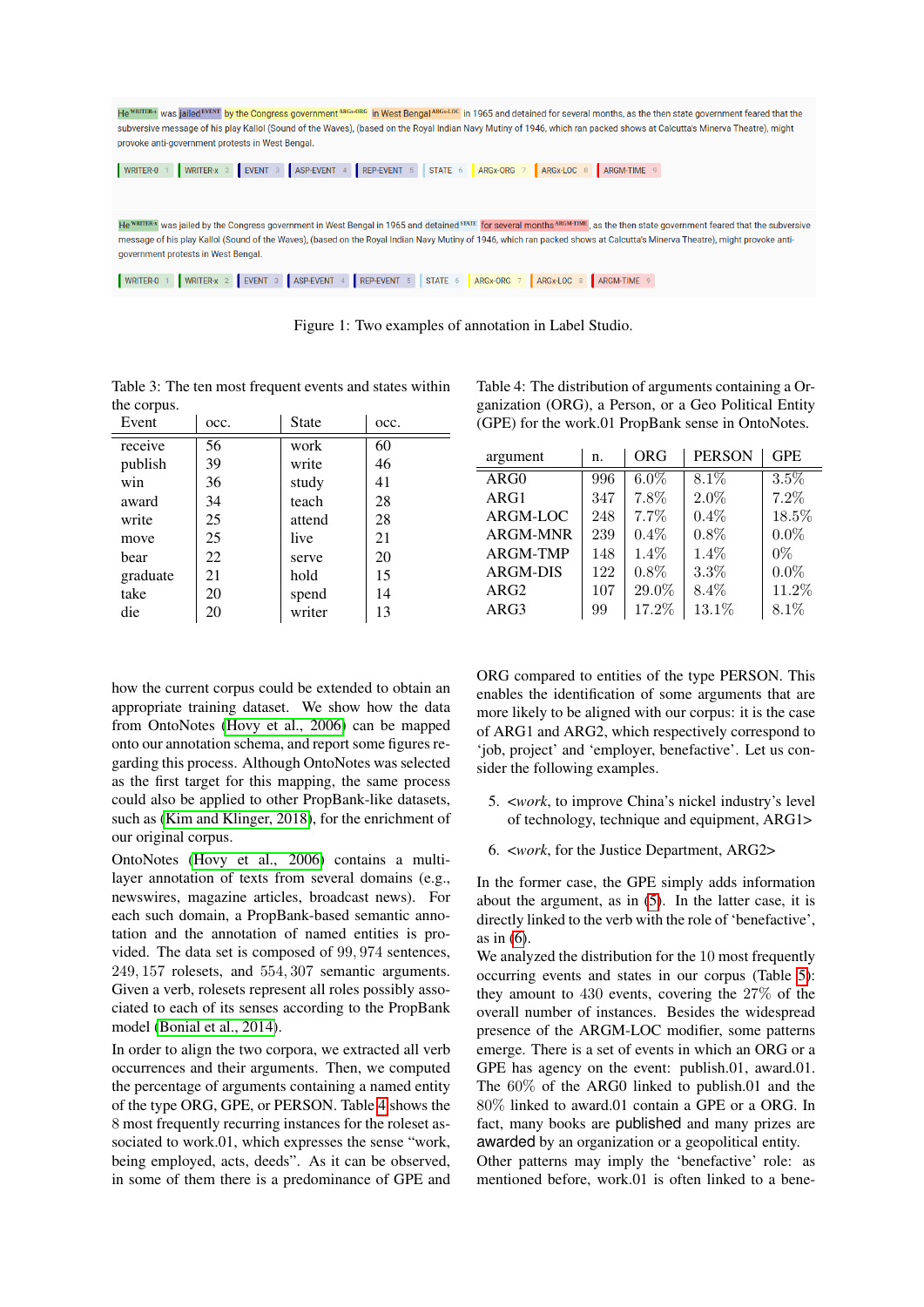

Figure 1: Two examples of annotation in Label Studio.

<span id="page-4-1"></span>Table 3: The ten most frequent events and states within the corpus.

| Event    | occ. | <b>State</b> | occ. |
|----------|------|--------------|------|
| receive  | 56   | work         | 60   |
| publish  | 39   | write        | 46   |
| win      | 36   | study        | 41   |
| award    | 34   | teach        | 28   |
| write    | 25   | attend       | 28   |
| move     | 25   | live         | 21   |
| bear     | 22   | serve        | 20   |
| graduate | 21   | hold         | 15   |
| take     | 20   | spend        | 14   |
| die      | 20   | writer       | 13   |

how the current corpus could be extended to obtain an appropriate training dataset. We show how the data from OntoNotes [\(Hovy et al., 2006\)](#page-6-7) can be mapped onto our annotation schema, and report some figures regarding this process. Although OntoNotes was selected as the first target for this mapping, the same process could also be applied to other PropBank-like datasets, such as [\(Kim and Klinger, 2018\)](#page-6-20), for the enrichment of our original corpus.

OntoNotes [\(Hovy et al., 2006\)](#page-6-7) contains a multilayer annotation of texts from several domains (e.g., newswires, magazine articles, broadcast news). For each such domain, a PropBank-based semantic annotation and the annotation of named entities is provided. The data set is composed of 99, 974 sentences, 249, 157 rolesets, and 554, 307 semantic arguments. Given a verb, rolesets represent all roles possibly associated to each of its senses according to the PropBank model [\(Bonial et al., 2014\)](#page-5-7).

In order to align the two corpora, we extracted all verb occurrences and their arguments. Then, we computed the percentage of arguments containing a named entity of the type ORG, GPE, or PERSON. Table [4](#page-4-2) shows the 8 most frequently recurring instances for the roleset associated to work.01, which expresses the sense "work, being employed, acts, deeds". As it can be observed, in some of them there is a predominance of GPE and <span id="page-4-2"></span><span id="page-4-0"></span>Table 4: The distribution of arguments containing a Organization (ORG), a Person, or a Geo Political Entity (GPE) for the work.01 PropBank sense in OntoNotes.

| argument         | n.  | ORG     | <b>PERSON</b> | <b>GPE</b> |
|------------------|-----|---------|---------------|------------|
| ARG0             | 996 | $6.0\%$ | 8.1%          | $3.5\%$    |
| ARG1             | 347 | 7.8%    | $2.0\%$       | 7.2%       |
| ARGM-LOC         | 248 | 7.7%    | 0.4%          | 18.5%      |
| ARGM-MNR         | 239 | $0.4\%$ | $0.8\%$       | $0.0\%$    |
| ARGM-TMP         | 148 | $1.4\%$ | 1.4%          | $0\%$      |
| <b>ARGM-DIS</b>  | 122 | 0.8%    | 3.3%          | $0.0\%$    |
| ARG <sub>2</sub> | 107 | 29.0%   | 8.4%          | 11.2%      |
| ARG3             | 99  | 17.2%   | 13.1%         | 8.1%       |

ORG compared to entities of the type PERSON. This enables the identification of some arguments that are more likely to be aligned with our corpus: it is the case of ARG1 and ARG2, which respectively correspond to 'job, project' and 'employer, benefactive'. Let us consider the following examples.

- <span id="page-4-3"></span>5. <*work*, to improve China's nickel industry's level of technology, technique and equipment, ARG1>
- <span id="page-4-4"></span>6. <*work*, for the Justice Department, ARG2>

In the former case, the GPE simply adds information about the argument, as in [\(5\)](#page-4-3). In the latter case, it is directly linked to the verb with the role of 'benefactive', as in [\(6\)](#page-4-4).

We analyzed the distribution for the 10 most frequently occurring events and states in our corpus (Table [5\)](#page-5-8): they amount to 430 events, covering the 27% of the overall number of instances. Besides the widespread presence of the ARGM-LOC modifier, some patterns emerge. There is a set of events in which an ORG or a GPE has agency on the event: publish.01, award.01. The 60% of the ARG0 linked to publish.01 and the 80% linked to award.01 contain a GPE or a ORG. In fact, many books are published and many prizes are awarded by an organization or a geopolitical entity.

Other patterns may imply the 'benefactive' role: as mentioned before, work.01 is often linked to a bene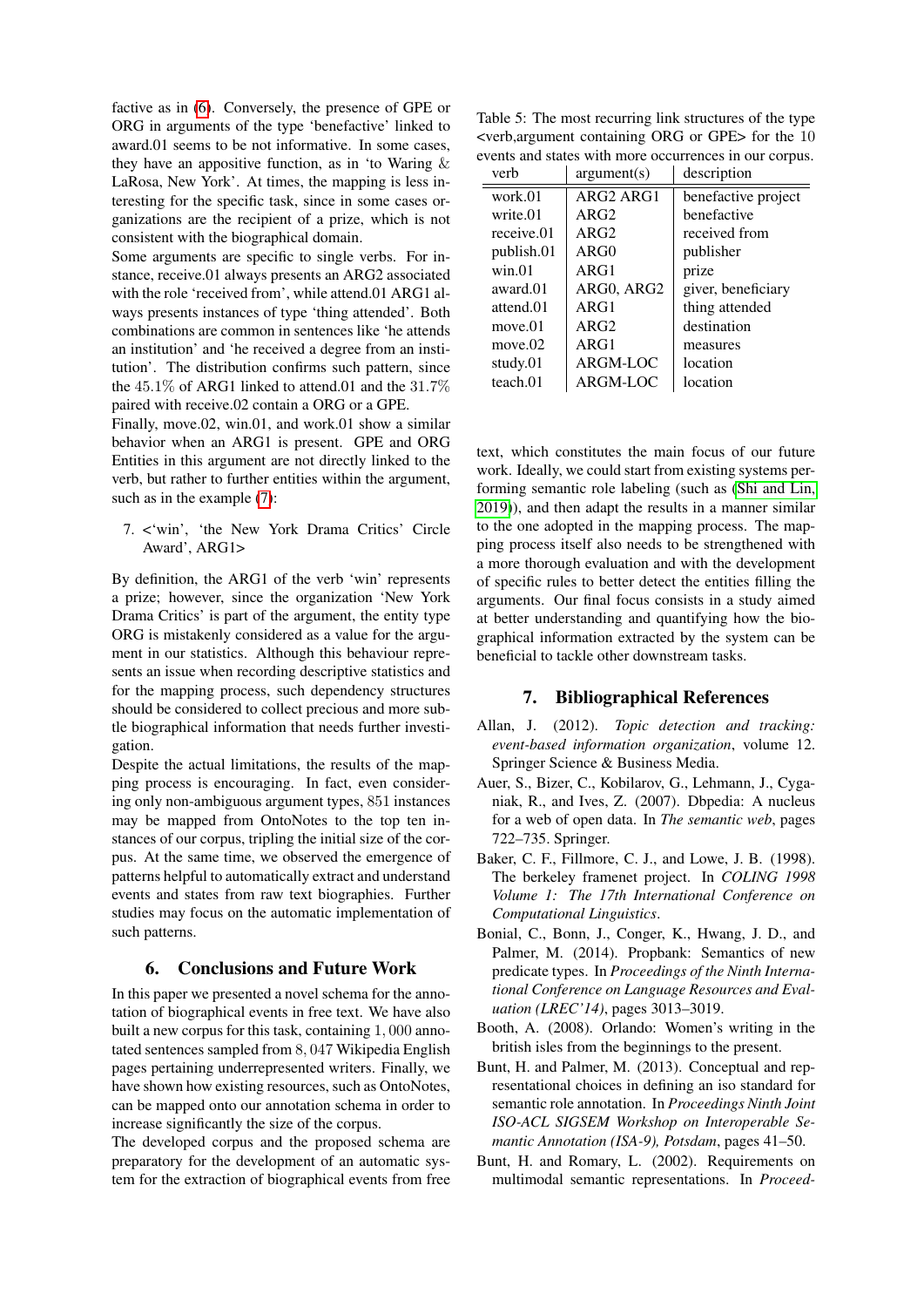factive as in [\(6\)](#page-4-4). Conversely, the presence of GPE or ORG in arguments of the type 'benefactive' linked to award.01 seems to be not informative. In some cases, they have an appositive function, as in 'to Waring  $\&$ LaRosa, New York'. At times, the mapping is less interesting for the specific task, since in some cases organizations are the recipient of a prize, which is not consistent with the biographical domain.

Some arguments are specific to single verbs. For instance, receive.01 always presents an ARG2 associated with the role 'received from', while attend.01 ARG1 always presents instances of type 'thing attended'. Both combinations are common in sentences like 'he attends an institution' and 'he received a degree from an institution'. The distribution confirms such pattern, since the  $45.1\%$  of ARG1 linked to attend.01 and the  $31.7\%$ paired with receive.02 contain a ORG or a GPE.

Finally, move.02, win.01, and work.01 show a similar behavior when an ARG1 is present. GPE and ORG Entities in this argument are not directly linked to the verb, but rather to further entities within the argument, such as in the example [\(7\)](#page-5-9):

<span id="page-5-9"></span>7. <'win', 'the New York Drama Critics' Circle Award', ARG1>

By definition, the ARG1 of the verb 'win' represents a prize; however, since the organization 'New York Drama Critics' is part of the argument, the entity type ORG is mistakenly considered as a value for the argument in our statistics. Although this behaviour represents an issue when recording descriptive statistics and for the mapping process, such dependency structures should be considered to collect precious and more subtle biographical information that needs further investigation.

Despite the actual limitations, the results of the mapping process is encouraging. In fact, even considering only non-ambiguous argument types, 851 instances may be mapped from OntoNotes to the top ten instances of our corpus, tripling the initial size of the corpus. At the same time, we observed the emergence of patterns helpful to automatically extract and understand events and states from raw text biographies. Further studies may focus on the automatic implementation of such patterns.

## 6. Conclusions and Future Work

<span id="page-5-3"></span>In this paper we presented a novel schema for the annotation of biographical events in free text. We have also built a new corpus for this task, containing 1, 000 annotated sentences sampled from 8, 047 Wikipedia English pages pertaining underrepresented writers. Finally, we have shown how existing resources, such as OntoNotes, can be mapped onto our annotation schema in order to increase significantly the size of the corpus.

The developed corpus and the proposed schema are preparatory for the development of an automatic system for the extraction of biographical events from free

<span id="page-5-8"></span>Table 5: The most recurring link structures of the type <verb,argument containing ORG or GPE> for the 10 events and states with more occurrences in our corpus.

| verb       | argument(s)                       | description         |
|------------|-----------------------------------|---------------------|
| work.01    | ARG <sub>2</sub> ARG <sub>1</sub> | benefactive project |
| write.01   | ARG2                              | benefactive         |
| receive.01 | ARG2                              | received from       |
| publish.01 | ARG0                              | publisher           |
| win.01     | ARG1                              | prize               |
| award.01   | ARG0, ARG2                        | giver, beneficiary  |
| attend.01  | ARG1                              | thing attended      |
| move.01    | ARG2                              | destination         |
| move.02    | ARG1                              | measures            |
| study.01   | ARGM-LOC                          | location            |
| teach.01   | ARGM-LOC                          | location            |

text, which constitutes the main focus of our future work. Ideally, we could start from existing systems performing semantic role labeling (such as [\(Shi and Lin,](#page-6-17) [2019\)](#page-6-17)), and then adapt the results in a manner similar to the one adopted in the mapping process. The mapping process itself also needs to be strengthened with a more thorough evaluation and with the development of specific rules to better detect the entities filling the arguments. Our final focus consists in a study aimed at better understanding and quantifying how the biographical information extracted by the system can be beneficial to tackle other downstream tasks.

## 7. Bibliographical References

- <span id="page-5-6"></span>Allan, J. (2012). *Topic detection and tracking: event-based information organization*, volume 12. Springer Science & Business Media.
- <span id="page-5-0"></span>Auer, S., Bizer, C., Kobilarov, G., Lehmann, J., Cyganiak, R., and Ives, Z. (2007). Dbpedia: A nucleus for a web of open data. In *The semantic web*, pages 722–735. Springer.
- <span id="page-5-4"></span>Baker, C. F., Fillmore, C. J., and Lowe, J. B. (1998). The berkeley framenet project. In *COLING 1998 Volume 1: The 17th International Conference on Computational Linguistics*.
- <span id="page-5-7"></span>Bonial, C., Bonn, J., Conger, K., Hwang, J. D., and Palmer, M. (2014). Propbank: Semantics of new predicate types. In *Proceedings of the Ninth International Conference on Language Resources and Evaluation (LREC'14)*, pages 3013–3019.
- <span id="page-5-1"></span>Booth, A. (2008). Orlando: Women's writing in the british isles from the beginnings to the present.
- <span id="page-5-2"></span>Bunt, H. and Palmer, M. (2013). Conceptual and representational choices in defining an iso standard for semantic role annotation. In *Proceedings Ninth Joint ISO-ACL SIGSEM Workshop on Interoperable Semantic Annotation (ISA-9), Potsdam*, pages 41–50.
- <span id="page-5-5"></span>Bunt, H. and Romary, L. (2002). Requirements on multimodal semantic representations. In *Proceed-*